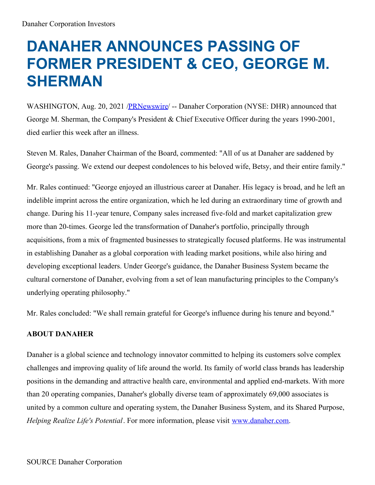## **DANAHER ANNOUNCES PASSING OF FORMER PRESIDENT & CEO, GEORGE M. SHERMAN**

WASHINGTON, Aug. 20, 2021 [/PRNewswire](http://www.prnewswire.com/)/ -- Danaher Corporation (NYSE: DHR) announced that George M. Sherman, the Company's President & Chief Executive Officer during the years 1990-2001, died earlier this week after an illness.

Steven M. Rales, Danaher Chairman of the Board, commented: "All of us at Danaher are saddened by George's passing. We extend our deepest condolences to his beloved wife, Betsy, and their entire family."

Mr. Rales continued: "George enjoyed an illustrious career at Danaher. His legacy is broad, and he left an indelible imprint across the entire organization, which he led during an extraordinary time of growth and change. During his 11-year tenure, Company sales increased five-fold and market capitalization grew more than 20-times. George led the transformation of Danaher's portfolio, principally through acquisitions, from a mix of fragmented businesses to strategically focused platforms. He was instrumental in establishing Danaher as a global corporation with leading market positions, while also hiring and developing exceptional leaders. Under George's guidance, the Danaher Business System became the cultural cornerstone of Danaher, evolving from a set of lean manufacturing principles to the Company's underlying operating philosophy."

Mr. Rales concluded: "We shall remain grateful for George's influence during his tenure and beyond."

## **ABOUT DANAHER**

Danaher is a global science and technology innovator committed to helping its customers solve complex challenges and improving quality of life around the world. Its family of world class brands has leadership positions in the demanding and attractive health care, environmental and applied end-markets. With more than 20 operating companies, Danaher's globally diverse team of approximately 69,000 associates is united by a common culture and operating system, the Danaher Business System, and its Shared Purpose, *Helping Realize Life's Potential*. For more information, please visit [www.danaher.com](https://c212.net/c/link/?t=0&l=en&o=3266040-1&h=2928301564&u=http%3A%2F%2Fwww.danaher.com%2F&a=www.danaher.com).